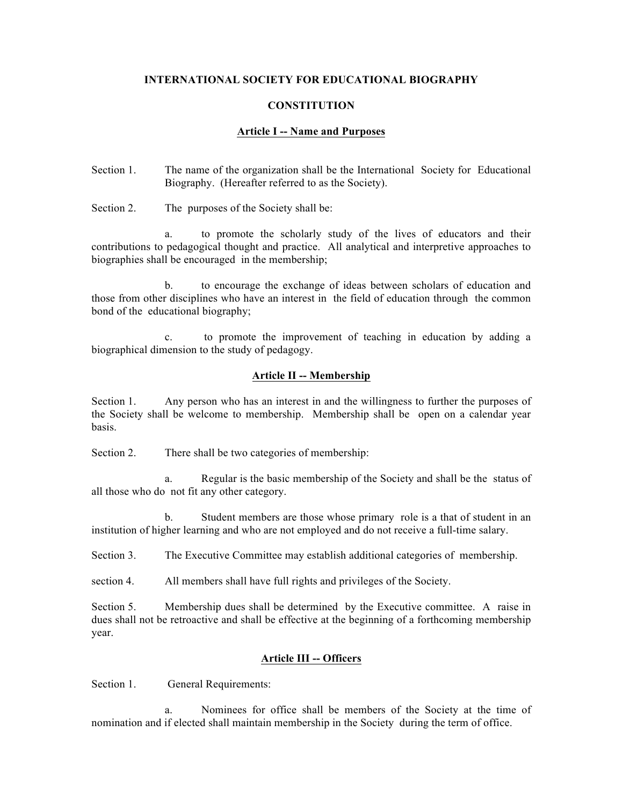### **INTERNATIONAL SOCIETY FOR EDUCATIONAL BIOGRAPHY**

#### **CONSTITUTION**

### **Article I -- Name and Purposes**

- Section 1. The name of the organization shall be the International Society for Educational Biography. (Hereafter referred to as the Society).
- Section 2. The purposes of the Society shall be:

a. to promote the scholarly study of the lives of educators and their contributions to pedagogical thought and practice. All analytical and interpretive approaches to biographies shall be encouraged in the membership;

b. to encourage the exchange of ideas between scholars of education and those from other disciplines who have an interest in the field of education through the common bond of the educational biography;

c. to promote the improvement of teaching in education by adding a biographical dimension to the study of pedagogy.

## **Article II -- Membership**

Section 1. Any person who has an interest in and the willingness to further the purposes of the Society shall be welcome to membership. Membership shall be open on a calendar year basis.

Section 2. There shall be two categories of membership:

a. Regular is the basic membership of the Society and shall be the status of all those who do not fit any other category.

b. Student members are those whose primary role is a that of student in an institution of higher learning and who are not employed and do not receive a full-time salary.

Section 3. The Executive Committee may establish additional categories of membership.

section 4. All members shall have full rights and privileges of the Society.

Section 5. Membership dues shall be determined by the Executive committee. A raise in dues shall not be retroactive and shall be effective at the beginning of a forthcoming membership year.

## **Article III -- Officers**

Section 1. General Requirements:

a. Nominees for office shall be members of the Society at the time of nomination and if elected shall maintain membership in the Society during the term of office.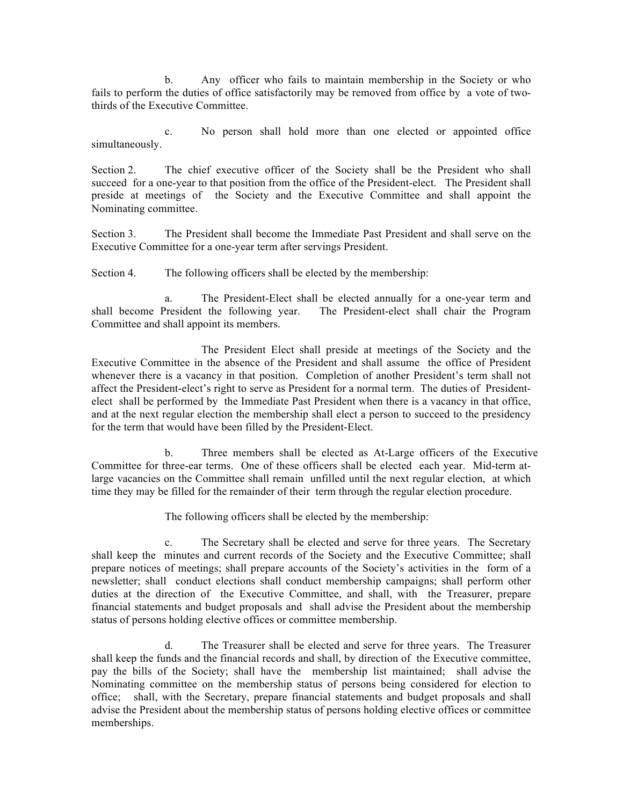b. Any officer who fails to maintain membership in the Society or who fails to perform the duties of office satisfactorily may be removed from office by a vote of twothirds of the Executive Committee.

c. No person shall hold more than one elected or appointed office simultaneously.

Section 2. The chief executive officer of the Society shall be the President who shall succeed for a one-year to that position from the office of the President-elect. The President shall preside at meetings of the Society and the Executive Committee and shall appoint the Nominating committee.

Section 3. The President shall become the Immediate Past President and shall serve on the Executive Committee for a one-year term after servings President.

Section 4. The following officers shall be elected by the membership:

a. The President-Elect shall be elected annually for a one-year term and shall become President the following year. The President-elect shall chair the Program Committee and shall appoint its members.

The President Elect shall preside at meetings of the Society and the Executive Committee in the absence of the President and shall assume the office of President whenever there is a vacancy in that position. Completion of another President's term shall not affect the President-elect's right to serve as President for a normal term. The duties of Presidentelect shall be performed by the Immediate Past President when there is a vacancy in that office, and at the next regular election the membership shall elect a person to succeed to the presidency for the term that would have been filled by the President-Elect.

b. Three members shall be elected as At-Large officers of the Executive Committee for three-ear terms. One of these officers shall be elected each year. Mid-term atlarge vacancies on the Committee shall remain unfilled until the next regular election, at which time they may be filled for the remainder of their term through the regular election procedure.

The following officers shall be elected by the membership:

c. The Secretary shall be elected and serve for three years. The Secretary shall keep the minutes and current records of the Society and the Executive Committee; shall prepare notices of meetings; shall prepare accounts of the Society's activities in the form of a newsletter; shall conduct elections shall conduct membership campaigns; shall perform other duties at the direction of the Executive Committee, and shall, with the Treasurer, prepare financial statements and budget proposals and shall advise the President about the membership status of persons holding elective offices or committee membership.

d. The Treasurer shall be elected and serve for three years. The Treasurer shall keep the funds and the financial records and shall, by direction of the Executive committee, pay the bills of the Society; shall have the membership list maintained; shall advise the Nominating committee on the membership status of persons being considered for election to office; shall, with the Secretary, prepare financial statements and budget proposals and shall advise the President about the membership status of persons holding elective offices or committee memberships.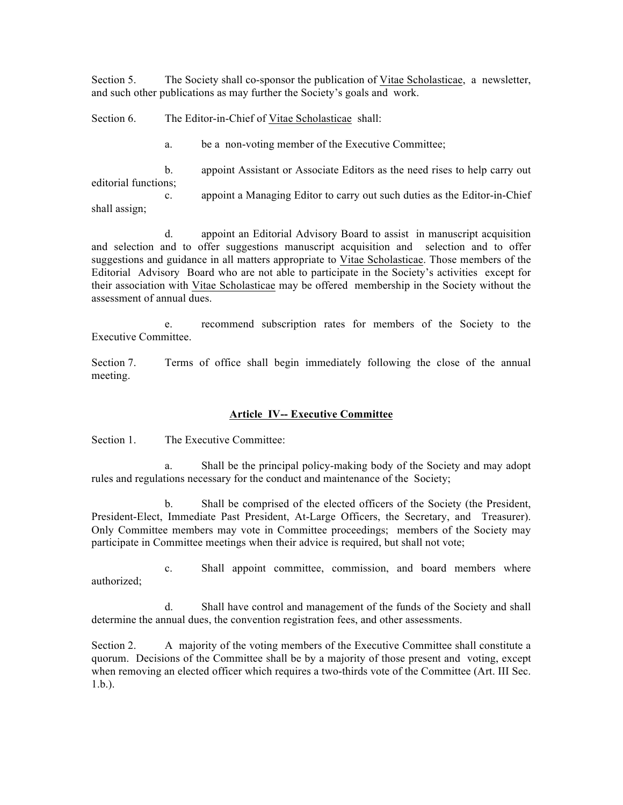Section 5. The Society shall co-sponsor the publication of Vitae Scholasticae, a newsletter, and such other publications as may further the Society's goals and work.

Section 6. The Editor-in-Chief of Vitae Scholasticae shall:

a. be a non-voting member of the Executive Committee;

b. appoint Assistant or Associate Editors as the need rises to help carry out editorial functions; c. appoint a Managing Editor to carry out such duties as the Editor-in-Chief

shall assign;

d. appoint an Editorial Advisory Board to assist in manuscript acquisition and selection and to offer suggestions manuscript acquisition and selection and to offer suggestions and guidance in all matters appropriate to Vitae Scholasticae. Those members of the Editorial Advisory Board who are not able to participate in the Society's activities except for their association with Vitae Scholasticae may be offered membership in the Society without the assessment of annual dues.

e. recommend subscription rates for members of the Society to the Executive Committee.

Section 7. Terms of office shall begin immediately following the close of the annual meeting.

## **Article IV-- Executive Committee**

Section 1. The Executive Committee:

a. Shall be the principal policy-making body of the Society and may adopt rules and regulations necessary for the conduct and maintenance of the Society;

b. Shall be comprised of the elected officers of the Society (the President, President-Elect, Immediate Past President, At-Large Officers, the Secretary, and Treasurer). Only Committee members may vote in Committee proceedings; members of the Society may participate in Committee meetings when their advice is required, but shall not vote;

c. Shall appoint committee, commission, and board members where authorized;

d. Shall have control and management of the funds of the Society and shall determine the annual dues, the convention registration fees, and other assessments.

Section 2. A majority of the voting members of the Executive Committee shall constitute a quorum. Decisions of the Committee shall be by a majority of those present and voting, except when removing an elected officer which requires a two-thirds vote of the Committee (Art. III Sec. 1.b.).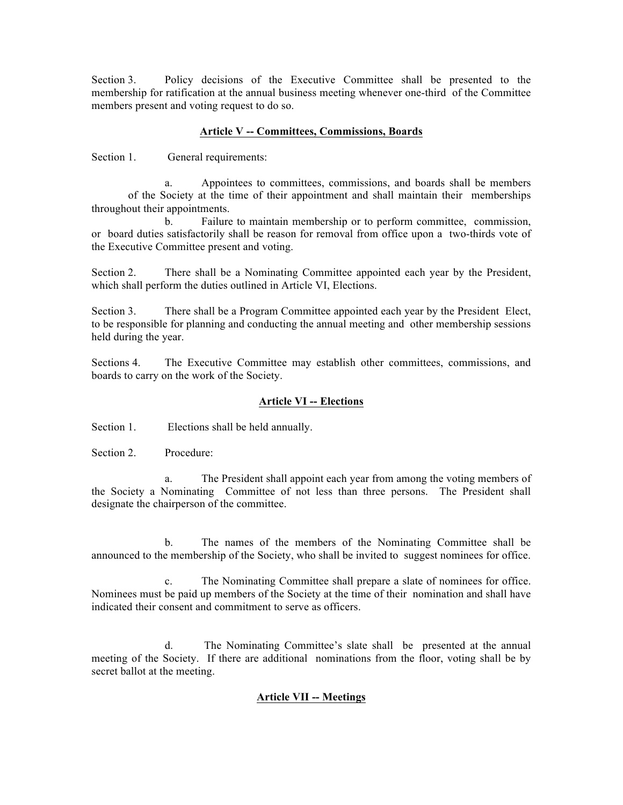Section 3. Policy decisions of the Executive Committee shall be presented to the membership for ratification at the annual business meeting whenever one-third of the Committee members present and voting request to do so.

## **Article V -- Committees, Commissions, Boards**

Section 1. General requirements:

a. Appointees to committees, commissions, and boards shall be members of the Society at the time of their appointment and shall maintain their memberships throughout their appointments.

b. Failure to maintain membership or to perform committee, commission, or board duties satisfactorily shall be reason for removal from office upon a two-thirds vote of the Executive Committee present and voting.

Section 2. There shall be a Nominating Committee appointed each year by the President, which shall perform the duties outlined in Article VI, Elections.

Section 3. There shall be a Program Committee appointed each year by the President Elect, to be responsible for planning and conducting the annual meeting and other membership sessions held during the year.

Sections 4. The Executive Committee may establish other committees, commissions, and boards to carry on the work of the Society.

### **Article VI -- Elections**

Section 1. Elections shall be held annually.

Section 2. Procedure:

a. The President shall appoint each year from among the voting members of the Society a Nominating Committee of not less than three persons. The President shall designate the chairperson of the committee.

b. The names of the members of the Nominating Committee shall be announced to the membership of the Society, who shall be invited to suggest nominees for office.

c. The Nominating Committee shall prepare a slate of nominees for office. Nominees must be paid up members of the Society at the time of their nomination and shall have indicated their consent and commitment to serve as officers.

d. The Nominating Committee's slate shall be presented at the annual meeting of the Society. If there are additional nominations from the floor, voting shall be by secret ballot at the meeting.

# **Article VII -- Meetings**